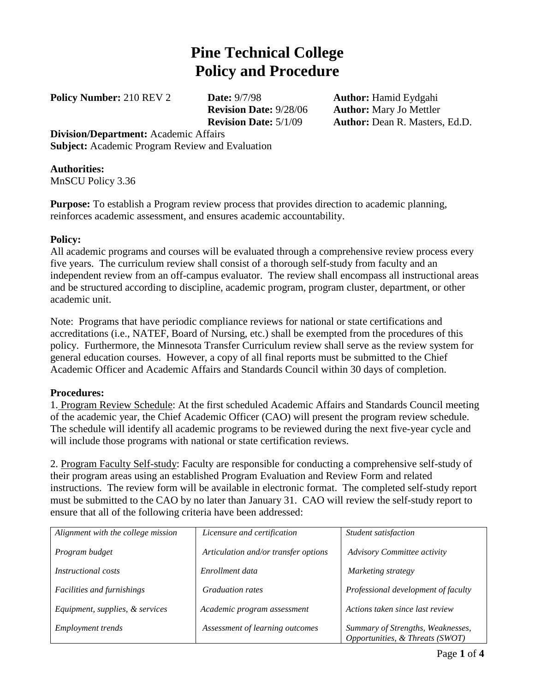# **Pine Technical College Policy and Procedure**

**Policy Number:** 210 REV 2 **Date:** 9/7/98 **Author:** Hamid Eydgahi

**Revision Date:** 9/28/06 **Author:** Mary Jo Mettler **Revision Date:** 5/1/09 **Author:** Dean R. Masters, Ed.D.

**Division/Department:** Academic Affairs **Subject:** Academic Program Review and Evaluation

### **Authorities:**

MnSCU Policy 3.36

**Purpose:** To establish a Program review process that provides direction to academic planning, reinforces academic assessment, and ensures academic accountability.

#### **Policy:**

All academic programs and courses will be evaluated through a comprehensive review process every five years. The curriculum review shall consist of a thorough self-study from faculty and an independent review from an off-campus evaluator. The review shall encompass all instructional areas and be structured according to discipline, academic program, program cluster, department, or other academic unit.

Note: Programs that have periodic compliance reviews for national or state certifications and accreditations (i.e., NATEF, Board of Nursing, etc.) shall be exempted from the procedures of this policy. Furthermore, the Minnesota Transfer Curriculum review shall serve as the review system for general education courses. However, a copy of all final reports must be submitted to the Chief Academic Officer and Academic Affairs and Standards Council within 30 days of completion.

## **Procedures:**

1. Program Review Schedule: At the first scheduled Academic Affairs and Standards Council meeting of the academic year, the Chief Academic Officer (CAO) will present the program review schedule. The schedule will identify all academic programs to be reviewed during the next five-year cycle and will include those programs with national or state certification reviews.

2. Program Faculty Self-study: Faculty are responsible for conducting a comprehensive self-study of their program areas using an established Program Evaluation and Review Form and related instructions. The review form will be available in electronic format. The completed self-study report must be submitted to the CAO by no later than January 31. CAO will review the self-study report to ensure that all of the following criteria have been addressed:

| Alignment with the college mission | Licensure and certification          | Student satisfaction                                                 |
|------------------------------------|--------------------------------------|----------------------------------------------------------------------|
| Program budget                     | Articulation and/or transfer options | <b>Advisory Committee activity</b>                                   |
| <i>Instructional costs</i>         | Enrollment data                      | Marketing strategy                                                   |
| Facilities and furnishings         | <b>Graduation rates</b>              | Professional development of faculty                                  |
| Equipment, supplies, & services    | Academic program assessment          | Actions taken since last review                                      |
| <i>Employment trends</i>           | Assessment of learning outcomes      | Summary of Strengths, Weaknesses,<br>Opportunities, & Threats (SWOT) |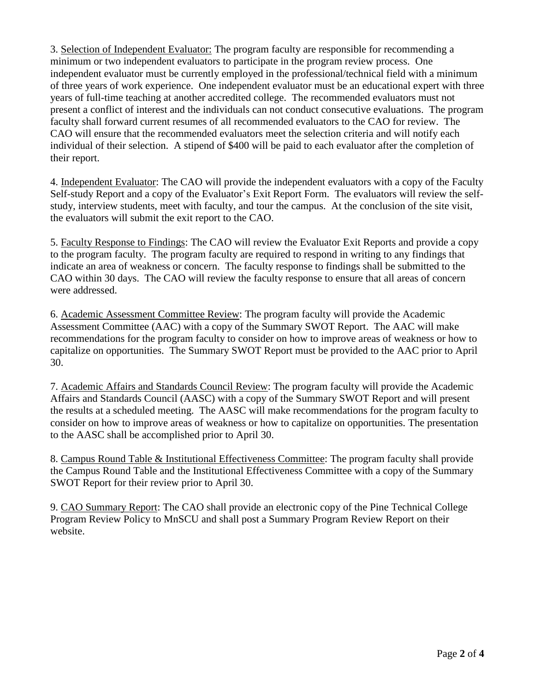3. Selection of Independent Evaluator: The program faculty are responsible for recommending a minimum or two independent evaluators to participate in the program review process. One independent evaluator must be currently employed in the professional/technical field with a minimum of three years of work experience. One independent evaluator must be an educational expert with three years of full-time teaching at another accredited college. The recommended evaluators must not present a conflict of interest and the individuals can not conduct consecutive evaluations. The program faculty shall forward current resumes of all recommended evaluators to the CAO for review. The CAO will ensure that the recommended evaluators meet the selection criteria and will notify each individual of their selection. A stipend of \$400 will be paid to each evaluator after the completion of their report.

4. Independent Evaluator: The CAO will provide the independent evaluators with a copy of the Faculty Self-study Report and a copy of the Evaluator's Exit Report Form. The evaluators will review the selfstudy, interview students, meet with faculty, and tour the campus. At the conclusion of the site visit, the evaluators will submit the exit report to the CAO.

5. Faculty Response to Findings: The CAO will review the Evaluator Exit Reports and provide a copy to the program faculty. The program faculty are required to respond in writing to any findings that indicate an area of weakness or concern. The faculty response to findings shall be submitted to the CAO within 30 days. The CAO will review the faculty response to ensure that all areas of concern were addressed.

6. Academic Assessment Committee Review: The program faculty will provide the Academic Assessment Committee (AAC) with a copy of the Summary SWOT Report. The AAC will make recommendations for the program faculty to consider on how to improve areas of weakness or how to capitalize on opportunities. The Summary SWOT Report must be provided to the AAC prior to April 30.

7. Academic Affairs and Standards Council Review: The program faculty will provide the Academic Affairs and Standards Council (AASC) with a copy of the Summary SWOT Report and will present the results at a scheduled meeting. The AASC will make recommendations for the program faculty to consider on how to improve areas of weakness or how to capitalize on opportunities. The presentation to the AASC shall be accomplished prior to April 30.

8. Campus Round Table & Institutional Effectiveness Committee: The program faculty shall provide the Campus Round Table and the Institutional Effectiveness Committee with a copy of the Summary SWOT Report for their review prior to April 30.

9. CAO Summary Report: The CAO shall provide an electronic copy of the Pine Technical College Program Review Policy to MnSCU and shall post a Summary Program Review Report on their website.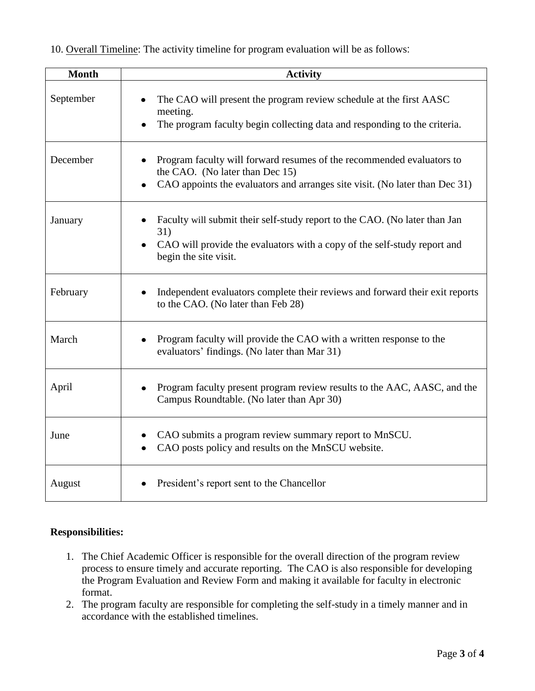| 10. Overall Timeline: The activity timeline for program evaluation will be as follows: |  |
|----------------------------------------------------------------------------------------|--|
|----------------------------------------------------------------------------------------|--|

| <b>Month</b> | <b>Activity</b>                                                                                                                                                                         |
|--------------|-----------------------------------------------------------------------------------------------------------------------------------------------------------------------------------------|
| September    | The CAO will present the program review schedule at the first AASC<br>meeting.<br>The program faculty begin collecting data and responding to the criteria.<br>$\bullet$                |
| December     | Program faculty will forward resumes of the recommended evaluators to<br>the CAO. (No later than Dec 15)<br>CAO appoints the evaluators and arranges site visit. (No later than Dec 31) |
| January      | Faculty will submit their self-study report to the CAO. (No later than Jan<br>31)<br>CAO will provide the evaluators with a copy of the self-study report and<br>begin the site visit.  |
| February     | Independent evaluators complete their reviews and forward their exit reports<br>$\bullet$<br>to the CAO. (No later than Feb 28)                                                         |
| March        | Program faculty will provide the CAO with a written response to the<br>evaluators' findings. (No later than Mar 31)                                                                     |
| April        | Program faculty present program review results to the AAC, AASC, and the<br>$\bullet$<br>Campus Roundtable. (No later than Apr 30)                                                      |
| June         | CAO submits a program review summary report to MnSCU.<br>CAO posts policy and results on the MnSCU website.                                                                             |
| August       | President's report sent to the Chancellor                                                                                                                                               |

#### **Responsibilities:**

- 1. The Chief Academic Officer is responsible for the overall direction of the program review process to ensure timely and accurate reporting. The CAO is also responsible for developing the Program Evaluation and Review Form and making it available for faculty in electronic format.
- 2. The program faculty are responsible for completing the self-study in a timely manner and in accordance with the established timelines.